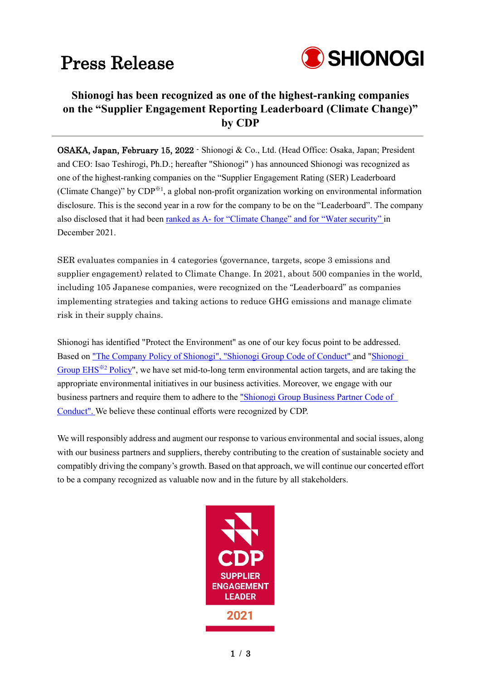## Press Release



### **Shionogi has been recognized as one of the highest-ranking companies on the "Supplier Engagement Reporting Leaderboard (Climate Change)" by CDP**

OSAKA, Japan, February 15, 2022 - Shionogi & Co., Ltd. (Head Office: Osaka, Japan; President and CEO: Isao Teshirogi, Ph.D.; hereafter "Shionogi" ) has announced Shionogi was recognized as one of the highest-ranking companies on the "Supplier Engagement Rating (SER) Leaderboard (Climate Change)" by CDP<sup>※1</sup>, a global non-profit organization working on environmental information disclosure. This is the second year in a row for the company to be on the "Leaderboard". The company also disclosed that it had been ranked as A- [for "Climate Change" and for "Water security" i](https://www.shionogi.com/global/en/news/2021/12/202121.html)n December 2021.

SER evaluates companies in 4 categories (governance, targets, scope 3 emissions and supplier engagement) related to Climate Change. In 2021, about 500 companies in the world, including 105 Japanese companies, were recognized on the "Leaderboard" as companies implementing strategies and taking actions to reduce GHG emissions and manage climate risk in their supply chains.

Shionogi has identified "Protect the Environment" as one of our key focus point to be addressed. Based on ["The Company Policy of Shionogi", "Shionogi Group Code of Conduct" a](https://www.shionogi.com/global/en/company/business.html)nd ["Shionogi](http://www.shionogi.co.jp/en/company/policy/ehs.html)  [Group EHS](http://www.shionogi.co.jp/en/company/policy/ehs.html)※<sup>2</sup> Policy", we have set mid-to-long term environmental action targets, and are taking the appropriate environmental initiatives in our business activities. Moreover, we engage with our business partners and require them to adhere to the ["Shionogi Group Business Partner Code of](https://www.shionogi.com/global/en/company/policies/shionogi-group-business-partner-code-of-conduct.html)  [Conduct".](https://www.shionogi.com/global/en/company/policies/shionogi-group-business-partner-code-of-conduct.html) We believe these continual efforts were recognized by CDP.

We will responsibly address and augment our response to various environmental and social issues, along with our business partners and suppliers, thereby contributing to the creation of sustainable society and compatibly driving the company's growth. Based on that approach, we will continue our concerted effort to be a company recognized as valuable now and in the future by all stakeholders.

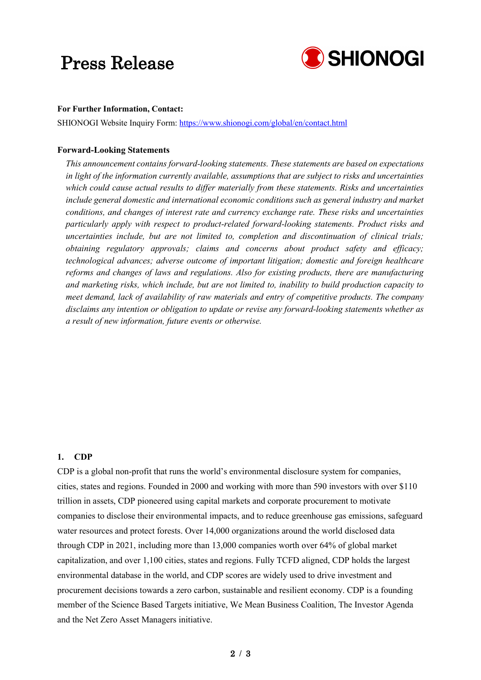### Press Release



#### **For Further Information, Contact:**

SHIONOGI Website Inquiry Form: <https://www.shionogi.com/global/en/contact.html>

#### **Forward-Looking Statements**

*This announcement contains forward-looking statements. These statements are based on expectations in light of the information currently available, assumptions that are subject to risks and uncertainties which could cause actual results to differ materially from these statements. Risks and uncertainties include general domestic and international economic conditions such as general industry and market conditions, and changes of interest rate and currency exchange rate. These risks and uncertainties particularly apply with respect to product-related forward-looking statements. Product risks and uncertainties include, but are not limited to, completion and discontinuation of clinical trials; obtaining regulatory approvals; claims and concerns about product safety and efficacy; technological advances; adverse outcome of important litigation; domestic and foreign healthcare reforms and changes of laws and regulations. Also for existing products, there are manufacturing and marketing risks, which include, but are not limited to, inability to build production capacity to meet demand, lack of availability of raw materials and entry of competitive products. The company disclaims any intention or obligation to update or revise any forward-looking statements whether as a result of new information, future events or otherwise.*

#### **1. CDP**

CDP is a global non-profit that runs the world's environmental disclosure system for companies, cities, states and regions. Founded in 2000 and working with more than 590 investors with over \$110 trillion in assets, CDP pioneered using capital markets and corporate procurement to motivate companies to disclose their environmental impacts, and to reduce greenhouse gas emissions, safeguard water resources and protect forests. Over 14,000 organizations around the world disclosed data through CDP in 2021, including more than 13,000 companies worth over 64% of global market capitalization, and over 1,100 cities, states and regions. Fully TCFD aligned, CDP holds the largest environmental database in the world, and CDP scores are widely used to drive investment and procurement decisions towards a zero carbon, sustainable and resilient economy. CDP is a founding member of the Science Based Targets initiative, We Mean Business Coalition, The Investor Agenda and the Net Zero Asset Managers initiative.